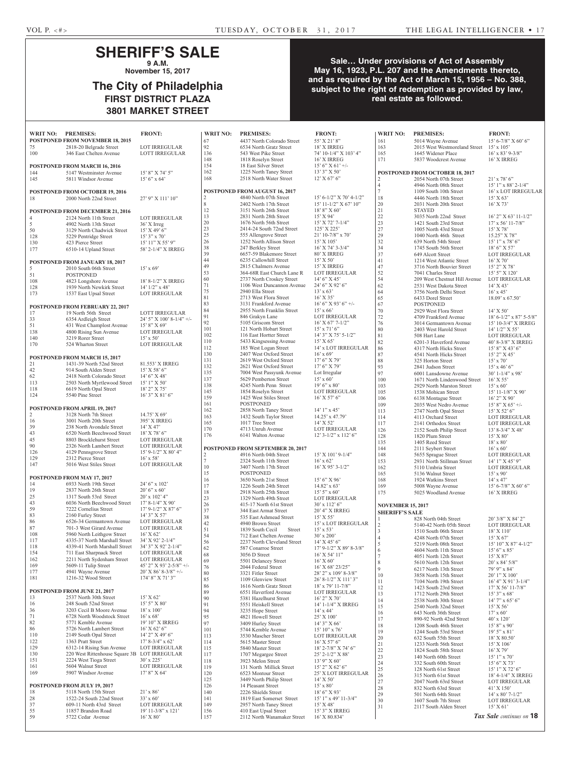161 5014 Wayne Avenue 15' 6-7/8" X 60' 6"<br>163 2015 West Westmoreland Street 15' x 105'

## **SHERIFF'S SALE 9 A.M.**

**November 15, 2017**

## **The City of Philadelphia FIRST DISTRICT PLAZA 3801 MARKET STREET**

### **Sale… Under provisions of Act of Assembly May 16, 1923, P.L. 207 and the Amendments thereto, and as required by the Act of March 15, 1956 – No. 388, subject to the right of redemption as provided by law, real estate as followed.**

| WRIT NO:            | <b>PREMISES:</b>                                                | <b>FRONT:</b>                                   | <b>WRIT NO:</b> | <b>PREMISES:</b>                                            | <b>FRONT:</b>                                | WRIT NO:                                          | <b>PREMISES:</b>                                      | <b>FRONT:</b>                     |
|---------------------|-----------------------------------------------------------------|-------------------------------------------------|-----------------|-------------------------------------------------------------|----------------------------------------------|---------------------------------------------------|-------------------------------------------------------|-----------------------------------|
|                     | POSTPONED FROM NOVEMBER 18, 2015                                |                                                 | 67              | 4437 North Colorado Street                                  | 55' X 21' 8"                                 | 161                                               | 5014 Wayne Avenue                                     | $15' 6 - 7/8''$                   |
| 75                  | 2818-20 Belgrade Street                                         | <b>LOT IRREGULAR</b>                            | 92              | 6534 North Gratz Street                                     | 18' X IRREG                                  | 163                                               | 2015 West Westmoreland Street                         | $15' \times 105'$                 |
| 100                 | 346 East Chelten Avenue                                         | <b>LOTT IRREGULAR</b>                           | 136             | 543 West Pike Street                                        | 74' 10-1/4" X 103' 4"                        | 165                                               | 1645 Widener Place                                    | $16'$ x 83' 9                     |
|                     |                                                                 |                                                 | 148<br>154      | 1818 Roselyn Street                                         | 16' X IRREG                                  | 171                                               | 5837 Woodcrest Avenue                                 | <b>16' X IRRI</b>                 |
| 144                 | POSTPONED FROM MARCH 16, 2016<br>5147 Westminster Avenue        | 15' 8" X 74' 5"                                 | 162             | 18 East Silver Street<br>1225 North Taney Street            | $15'6''$ X 61' +/-<br>13' 3" X 50'           |                                                   | POSTPONED FROM OCTOBER 18, 2017                       |                                   |
| 145                 | 5811 Windsor Avenue                                             | $15'6''$ x 64'                                  | 168             | 2518 North Water Street                                     | $12'$ X 67' 6"                               | $\overline{2}$                                    | 2054 North 07th Street                                | $21'$ x 78' 6'                    |
|                     |                                                                 |                                                 |                 |                                                             |                                              | $\overline{4}$                                    | 4946 North 08th Street                                | $15'1''$ x 88                     |
|                     | POSTPONED FROM OCTOBER 19, 2016                                 |                                                 |                 | POSTPONED FROM AUGUST 16, 2017                              |                                              | $\tau$                                            | 1109 South 10th Street                                | $16'$ x LOT                       |
| 18                  | 2000 North 22nd Street                                          | 27' 9" X 111' 10"                               | 2               | 4840 North 07th Street                                      | 15' 6-1/2" X 70' 4-1/2"                      | 18                                                | 4446 North 18th Street                                | 15' X 63'                         |
|                     |                                                                 |                                                 | 8               | 2402 North 17th Street                                      | $15' 11 - 1/2''$ X 67' $10''$                | 20                                                | 2031 North 20th Street                                | $16'$ X 73'                       |
|                     | POSTPONED FROM DECEMBER 21, 2016                                |                                                 | 12<br>13        | 3151 North 26th Street<br>2831 North 28th Street            | $18'8''$ X 60'<br>15' X 94'                  | 21<br>22                                          | <b>STAYED</b><br>3035 North 22nd Street               | 16' 2" X 63                       |
| $\overline{4}$<br>5 | 2124 North 11th Street<br>4902 North 13th Street                | <b>LOT IRREGULAR</b><br>36' X Irreg             | 20              | 1676 North 56th Street                                      | $15'$ X 72' 7-1/4"                           | 23                                                | 1421 South 23rd Street                                | $17'$ x 56' 1                     |
| 50                  | 3129 North Chadwick Street                                      | $15'$ X 49' 6"                                  | 23              | 2414-24 South 72nd Street                                   | 125' X 225'                                  | 27                                                | 1005 North 43rd Street                                | $15'$ X 78'                       |
| 128                 | 5229 Pentridge Street                                           | $15'3''$ x 70'                                  | 25              | 555 Allengrove Street                                       | $21'$ 10-7/8" x 70"                          | 29                                                | 1040 North 46th Street                                | $15.25$ " X 7                     |
| 130                 | 423 Pierce Street                                               | $15'$ $11''$ X $55'$ $9''$                      | 26              | 1252 North Allison Street                                   | $15'$ X $105'$                               | 32                                                | 639 North 54th Street                                 | $15'1''$ x 78                     |
| 177                 | 6510-14 Upland Street                                           | 58' 2-1/4" X IRREG                              | 38<br>39        | 247 Berkley Street                                          | 16' X 74' 3-3/4"                             | 34<br>37                                          | 1745 South 56th Street                                | $18'6''$ X 5                      |
|                     |                                                                 |                                                 | 44              | 6657-59 Blakemore Street<br>6235 Callowhill Street          | 80' X IRREG<br>15' X 50'                     | 41                                                | 649 Alcott Street<br>1214 West Atlantic Street        | <b>LOT IRRE</b><br>$16'$ X 70'    |
| 5                   | POSTPONED FROM JANUARY 18, 2017<br>2010 South 06th Street       | $15'$ x 69'                                     | 49              | 2815 Chalmers Avenue                                        | 15' X IRREG                                  | 47                                                | 3716 North Bouvier Street                             | $15'$ 2" X 78                     |
| 51                  | <b>POSTPONED</b>                                                |                                                 | 53              | 364-68R East Church Lane R                                  | <b>LOT IRREGULAR</b>                         | 52                                                | 7041 Charles Street                                   | $15'5''$ X 12                     |
| 108                 | 4823 Longshore Avenue                                           | 18' 8-1/2" X IRREG                              | 60              | 2737 North Croskey Street                                   | $14'6''$ X 45'                               | 54                                                | 209 West Chestnut Hill Avenue                         | <b>LOT IRRE</b>                   |
| 128                 | 1939 North Newkirk Street                                       | $14'$ $1/2''$ x $48'$                           | 71              | 1106 West Duncannon Avenue                                  | 24' 6" X 92' 6"                              | 62                                                | 2531 West Dakota Street                               | $14'$ X 43'                       |
| 173                 | 1537 East Upsal Street                                          | <b>LOT IRREGULAR</b>                            | 75<br>81        | 2940 Ella Street<br>2713 West Flora Street                  | $13' \times 63'$<br>$16'$ X 35'              | 64<br>65                                          | 3756 North Delhi Street<br>6433 Dorel Street          | $16'$ x 45'<br>$18.09'$ x 67      |
|                     |                                                                 |                                                 | 83              | 3131 Frankford Avenue                                       | $16'6''$ X 93' $6'' +$ /-                    | 67                                                | <b>POSTPONED</b>                                      |                                   |
| 17                  | <b>POSTPONED FROM FEBRUARY 22, 2017</b><br>19 North 56th Street | <b>LOTT IRREGULAR</b>                           | 84              | 2955 North Franklin Street                                  | $15'$ x 66'                                  | 70                                                | 2929 West Flora Street                                | $14'$ X 50'                       |
| 33                  | 6354 Ardleigh Street                                            | $24'5''$ X $100'8-1/4''$ +/-                    | 91              | 846 Grakyn Lane                                             | <b>LOT IRREGULAR</b>                         | $72\,$                                            | 4709 Frankford Avenue                                 | $18' 6 - 1/2''$                   |
| 51                  | 431 West Champlost Avenue                                       | $15'8''$ X 69'                                  | 92              | 5105 Griscom Street                                         | $16'$ X $67'$ 7- $1/2''$                     | 76                                                | 3014 Germantown Avenue                                | $15'$ 10-3/4                      |
| 138                 | 4800 Rising Sun Avenue                                          | <b>LOT IRREGULAR</b>                            | 101<br>102      | 121 North Hobart Street                                     | $15'$ x $71'$ 6"<br>$14'3''$ X 75' 5-1/2"    | 80<br>81                                          | 2403 West Harold Street                               | $14'$ $1/2''$ X                   |
| 140                 | 3219 Rorer Street                                               | $15' \times 50'$                                | 110             | 116 East Hortter Street<br>5433 Kingsessing Avenue          | 15' X 65'                                    | 82                                                | 508 Hart Lane<br>6201-3 Haverford Avenue              | <b>LOT IRRE</b><br>$40' 8 - 3/8"$ |
| 170                 | 524 Wharton Street                                              | <b>LOT IRREGULAR</b>                            | 112             | 185 West Logan Street                                       | 14' x LOT IRREGULAR                          | 86                                                | 4317 North Hicks Street                               | $15'8''$ X 43                     |
|                     | <b>POSTPONED FROM MARCH 15, 2017</b>                            |                                                 | 130             | 2407 West Oxford Street                                     | $16'$ x 69'                                  | 87                                                | 4541 North Hicks Street                               | $15'$ 2" X 4.                     |
| 21                  | 1431-39 North 52nd Street                                       | 81.553' X IRREG                                 | 131             | 2619 West Oxford Street                                     | $17'6''$ X 79'                               | 88                                                | 325 Horton Street                                     | $15'$ x 70'                       |
| $42\,$              | 914 South Alden Street                                          | $15'$ X 58' 6"                                  | 132<br>135      | 2621 West Oxford Street                                     | $17'6''$ X 79'                               | 93                                                | 2841 Judson Street                                    | $15'$ x 46' 6'                    |
| 62                  | 2418 North Colorado Street                                      | $14'6''$ X 48'                                  | 137             | 7004 West Passyunk Avenue<br>5629 Pemberton Street          | Lot Irregular<br>$15' \times 60'$            | 97<br>100                                         | 6001 Lansdowne Avenue<br>1671 North Lindenwood Street | $30'$ 1-1/4"<br>$16'$ X 55'       |
| 113                 | 2503 North Myrtlewood Street                                    | $15'1''$ X 50'                                  | 138             | 4245 North Penn Street                                      | $19'6''$ x 80'                               | 103                                               | 2929 North Marston Street                             | $15' \times 60'$                  |
| 118<br>124          | 6619 North Opal Street<br>5540 Pine Street                      | 18' 2" X 75'<br>$16'3''$ X 81'6"                | 145             | 1854 Roselyn Street                                         | <b>LOT IRREGULAR</b>                         | 105                                               | 1538 Mohican Street                                   | $15'$ 11-1/8"                     |
|                     |                                                                 |                                                 | 159             | 1425 West Stiles Street                                     | $16'$ X 57' 6"                               | 106                                               | 6138 Montague Street                                  | $16'$ 2" X 90                     |
|                     | POSTPONED FROM APRIL 19, 2017                                   |                                                 | 161             | <b>POSTPONED</b>                                            |                                              | 109                                               | 2035 West Nedro Avenue                                | $15'8''$ X 6:                     |
| $\overline{c}$      | 3128 North 7th Street                                           | $14.75'$ X 69'                                  | 162<br>163      | 2858 North Taney Street<br>1432 South Taylor Street         | $14'1''$ x 45'<br>14.25' x 47.79'            | 113<br>114                                        | 2747 North Opal Street<br>4113 Orchard Street         | $15'$ X 52' 6<br><b>LOT IRRE</b>  |
| 16                  | 3001 North 20th Street                                          | <b>395' X IRREG</b>                             | 165             | 1017 Tree Street                                            | $14'$ X 52'                                  | 117                                               | 2141 Orthodox Street                                  | <b>LOT IRRE</b>                   |
| 39                  | 238 North Avondale Street                                       | $14'$ X 47'                                     | 170             | 4713 Unruh Avenue                                           | <b>LOT IRREGULAR</b>                         | 126                                               | 2152 South Philip Street                              | $13'$ 8-3/4"                      |
| 43<br>45            | 6520 North Beechwood Street<br>8803 Brocklehurst Street         | $18'$ X 78' 6"<br><b>LOT IRREGULAR</b>          | 176             | 6141 Walton Avenue                                          | $12'$ 3- $1/2''$ x $112'$ 6"                 | 128                                               | 1820 Plum Street                                      | 15' X 80'                         |
| 90                  | 2326 North Lambert Street                                       | LOT IRREGULAR                                   |                 |                                                             |                                              | 135                                               | 1405 Reed Street                                      | $18'$ x $80'$                     |
| 126                 | 4129 Pennsgrove Street                                          | 15' 9-1/2" X 80' 4"                             |                 | POSTPONED FROM SEPTEMBER 20, 2017<br>4916 North 04th Street | 15' X 101' 9-1/4"                            | 144                                               | 2111 Seybert Street                                   | $16'$ x 60'                       |
|                     |                                                                 |                                                 |                 |                                                             |                                              |                                                   |                                                       |                                   |
| 129                 | 2312 Pierce Street                                              | $16'$ x 58'                                     | 2<br>$\tau$     |                                                             |                                              | 148                                               | 5655 Sprague Street                                   | <b>LOT IRRE</b>                   |
| 147                 | 5016 West Stiles Street                                         | <b>LOT IRREGULAR</b>                            | 10              | 2324 South 11th Street<br>3407 North 17th Street            | $16'$ x 62'<br>$16'$ X 95' 3-1/2"            | 153<br>162                                        | 2931 North Stillman Street<br>5110 Umbria Street      | <b>LOT IRRE</b>                   |
|                     |                                                                 |                                                 | 15              | <b>POSTPONED</b>                                            |                                              | 165                                               | 5136 Walnut Street                                    | $15' \times 90'$                  |
|                     | POSTPONED FROM MAY 17, 2017                                     |                                                 | 16              | 3650 North 21st Street                                      | $15'6''$ X 96'                               | 168                                               | 1924 Watkins Street                                   | $14'$ x $47'$                     |
| 14<br>19            | 6933 North 19th Street<br>2837 North 26th Street                | 24' 6" x 102'<br>$20'6''$ x 60'                 | 17              | 1226 South 24th Street                                      | $14.82'$ x 63'                               | 169                                               | 5008 Wayne Avenue                                     | $15' 6 - 7/8"$                    |
| 25                  | 1317 South 53rd Street                                          | $20'$ x $102'$ 4"                               | 18              | 2918 North 25th Street                                      | $15'5''$ x 60'                               | 175                                               | 5025 Woodland Avenue                                  | <b>16' X IRRI</b>                 |
| 43                  | 6036 North Beechwood Street                                     | $17'$ 8-1/4" X 90"                              | 23<br>$26\,$    | 1329 North 49th Street<br>415-17 North 61st Street          | <b>LOT IRREGULAR</b><br>$30'$ x 112' 6"      |                                                   |                                                       |                                   |
| 59                  | 7222 Cornelius Street                                           | $17'$ 9- $1/2''$ X 87' 6"                       | 37              | 344 East Armat Street                                       | 20' 4" X IRREG                               | <b>NOVEMBER 15, 2017</b><br><b>SHERIFF'S SALE</b> |                                                       |                                   |
| 83                  | 2160 Furley Street                                              | $14'3''$ X 57'                                  | 38              | 535 East Ashmead Street                                     | $15'$ X 55'                                  |                                                   | 828 North 04th Street                                 | 20'3/8'' X                        |
| 86                  | 6526-34 Germantown Avenue                                       | LOT IRREGULAR                                   | 42              | 4940 Brown Street                                           | 15' x LOT IRREGULAR                          | 2                                                 | 5140-42 North 05th Street                             | <b>LOT IRRE</b>                   |
| 87<br>108           | 701-3 West Girard Avenue<br>5960 North Leithgow Street          | <b>LOT IRREGULAR</b><br>$16'$ X 62'             | 51<br>54        | 1839 South Cecil<br>Street<br>712 East Chelten Avenue       | $15'$ x 53'<br>$30'$ x $200'$                | $\overline{3}$                                    | 1510 South 06th Street                                | $18'$ X $110'$                    |
| 117                 | 4335-37 North Marshall Street                                   | 34' X 92' 2-1/4"                                | 56              | 2237 North Cleveland Street                                 | $14'$ X 45' 6"                               | $\overline{4}$<br>5                               | 4248 North 07th Street                                | $15'$ X 67'                       |
| 118                 | 4339-41 North Marshall Street                                   | 34' 3" X 92' 2-1/4"                             | 62              | 587 Conarroe Street                                         | 17' 9-1/2" X 89' 8-3/8"                      | 6                                                 | 5219 North 08th Street<br>4604 North 11th Street      | 15' 10'' X<br>$15'6''$ x 85       |
| 154                 | 711 East Sharpnack Street                                       | LOT IRREGULAR                                   | 68              | 3056 D Street                                               | $16'$ X 54' $11''$                           | $\tau$                                            | 4051 North 12th Street                                | $15'$ X $87'$                     |
| 162<br>169          | 2211 North Sydenham Street                                      | <b>LOT IRREGULAR</b><br>45' 2" X 93' 2-5/8" +/- | 69              | 5501 Delancey Street                                        | $16'$ X 60'                                  | 8                                                 | 5610 North 12th Street                                | $20'$ x 84' 5                     |
| 177                 | 5609-11 Tulip Street<br>4941 Wayne Avenue                       | $20'$ X 86' 8-3/8" +/-                          | 76              | 2044 Federal Street                                         | 16' X 68' 23/25"                             | 9                                                 | 6217 North 13th Street                                | 79' 9" x 84                       |
| 181                 | 1216-32 Wood Street                                             | 174' 8" X 71' 3"                                | 80<br>85        | 3321 Fitler Street<br>1109 Glenview Street                  | 28' 2" x 109' 8-3/8"<br>26' 8-1/2" X 111' 3" | 10                                                | 3858 North 15th Street                                | $20'1''$ X 10                     |
|                     |                                                                 |                                                 | 86              | 1616 North Gratz Street                                     | 18' x 79' 11-7/8"                            | 11                                                | 7104 North 19th Street                                | 16' 4" X 91<br>$17'$ X 56' 1      |
|                     | POSTPONED FROM JUNE 21, 2017                                    |                                                 | 89              | 6551 Haverford Avenue                                       | <b>LOT IRREGULAR</b>                         | 12<br>13                                          | 1423 South 23rd Street<br>1712 North 29th Street      | $15'3''$ x 68                     |
| 13                  | 2537 North 30th Street                                          | 15' X 62'                                       | 90              | 5381 Hazelhurst Street                                      | $16'$ 2" X 70"                               | 14                                                | 2538 North 30th Street                                | $14'$ 7" x 65                     |
| 16                  | 248 South 52nd Street<br>3203 Cecil B Moore Avenue              | 15' 5" X 80'<br>$18' \times 100'$               | 91              | 5551 Heiskell Street                                        | 14' 1-1/4" X IRREG                           | 15                                                | 2540 North 32nd Street                                | $15'$ X 56'                       |
| 36<br>71            | 6728 North Woodstock Street                                     | $16'$ x 68'                                     | 94<br>95        | 3235 Hope Street<br>4821 Howell Street                      | $14'$ x 44'<br>25' X 100'                    | 16                                                | 643 North 36th Street                                 | $17' \times 60'$                  |
| 82                  | 5771 Kemble Avenue                                              | 19' 10" X IRREG                                 | 97              | 3409 Hurley Street                                          | $14'3''$ X 66'                               | 17<br>18                                          | 890-92 North 42nd Street<br>1208 South 46th Street    | $40'$ x $120'$<br>$15'8''$ x 90   |
| 86                  | 5726 North Lambert Street                                       | $16'$ X 62' 6"                                  | 101             | 5744 Kemble Avenue                                          | $15' 10''$ x 76'                             | 19                                                | 1244 South 53rd Street                                | $14'1''$ X 45<br>$19'5''$ x 81    |
| 110                 | 2149 South Opal Street                                          | $14'$ 2" X 49' 6"                               | 113             | 3530 Mascher Street                                         | <b>LOT IRREGULAR</b>                         | 20                                                | 632 South 55th Street                                 | $18'$ X 80.5                      |
| 122<br>129          | 1363 Pratt Street<br>6312-14 Rising Sun Avenue                  | $17' 8 - 3/4''$ x 62'<br><b>LOT IRREGULAR</b>   | 114<br>115      | 5615 Master Street                                          | $16'$ X 57' 6"                               | 21                                                | 1233 North 56th Street                                | $15'$ X $106'$                    |
| 130                 | 220 West Rittenhouse Square 3B LOT IRREGULAR                    |                                                 | 117             | 5840 Master Street<br>1707 Megargee Street                  | 18' 2-7/8" X 74' 6"<br>25' 2-1/2" X 88'      | $22\,$                                            | 1824 South 58th Street                                | $16'$ X 79'                       |
| 151                 | 2224 West Tioga Street                                          | $30'$ x $225'$                                  | 118             | 3923 Melon Street                                           | 13' 9" X 60'                                 | 23                                                | 140 North 60th Street                                 | $15'1''$ x 70                     |
| 161                 | 5604 Walnut Street                                              | <b>LOT IRREGULAR</b>                            | 119             | 131 North Millick Street                                    | 15' 2" X 62' 6"                              | 24<br>25                                          | 332 South 60th Street<br>128 North 61st Street        | 15' 6''  X 73                     |
| 169                 | 5907 Windsor Avenue                                             | $17'8''$ X 64'                                  | 120             | 6523 Montour Street                                         | <b>25' X LOT IRREGULAR</b>                   | 26                                                | 315 North 61st Street                                 | 15' 1" X 72<br>$18' 4 - 1/4"$     |
|                     | POSTPONED FROM JULY 19, 2017                                    |                                                 | 125             | 3449 North Philip Street<br>14 Pleasant Street              | $14'$ X 50'                                  | 27                                                | 2047 North 63rd Street                                | <b>LOT IRRE</b>                   |
| 18                  | 5118 North 15th Street                                          | $21'$ x 86'                                     | 126<br>140      | 2226 Shields Street                                         | $15' \times 80'$<br>$18'6''$ X 93'           | 28                                                | 832 North 63rd Street                                 | $41'$ X $150'$                    |
| 28                  | 1522-24 South 22nd Street                                       | $33' \times 60'$                                | 141             | 1819 East Somerset Street                                   | $15'$ 1" x 49' 11-3/4"                       | 29<br>30                                          | 501 North 64th Street<br>1607 South 7th Street        | $14'$ x 80' 7<br><b>LOT IRRE</b>  |
| 37                  | 609-11 North 43rd Street                                        | <b>LOT IRREGULAR</b>                            | 149             | 2957 North Taney Street                                     | 15' X 48'                                    | 31                                                | 2117 South Alden Street                               | 15' X 61'                         |
| 55<br>59            | 11857 Brandon Road<br>5722 Cedar Avenue                         | $19'$ 11-3/8" x 121'<br>$16'$ X $80'$           | 156<br>157      | 410 East Upsal Street<br>2112 North Wanamaker Street        | 15' 3" X IRREG<br>16' X 80.834'              |                                                   |                                                       | Tax Sale conti                    |

| 154                                                                                        | 18 East Silver Street                                | $15'6''$ X 61' +/-                                                                   |
|--------------------------------------------------------------------------------------------|------------------------------------------------------|--------------------------------------------------------------------------------------|
| 162                                                                                        | 1225 North Taney Street                              | 13' 3" X 50'                                                                         |
| 168                                                                                        | 2518 North Water Street                              | $12'$ X 67' 6"                                                                       |
|                                                                                            |                                                      |                                                                                      |
|                                                                                            | <b>POSTPONED FROM AUGUST 16, 2017</b>                |                                                                                      |
| 2                                                                                          | 4840 North 07th Street                               | 15' 6-1/2" X 70' 4-1/2"                                                              |
| 8                                                                                          | 2402 North 17th Street                               | 15' 11-1/2" X 67' 10"                                                                |
| 12                                                                                         | 3151 North 26th Street                               | 18' 8" X 60'                                                                         |
| 13                                                                                         | 2831 North 28th Street                               | 15' X 94'                                                                            |
| 20                                                                                         | 1676 North 56th Street                               | $15'$ X 72' 7-1/4"                                                                   |
| 23                                                                                         | 2414-24 South 72nd Street                            | 125' X 225'                                                                          |
| 25                                                                                         | 555 Allengrove Street                                | $21'$ 10-7/8" x 70"                                                                  |
| 26                                                                                         | 1252 North Allison Street                            | $15'$ X $105'$                                                                       |
| 38                                                                                         | 247 Berkley Street                                   | $16'$ X 74' 3-3/4"                                                                   |
| 39                                                                                         | 6657-59 Blakemore Street                             | 80' X IRREG                                                                          |
| 44                                                                                         | 6235 Callowhill Street                               | 15' X 50'                                                                            |
| 49                                                                                         | 2815 Chalmers Avenue                                 | 15' X IRREG                                                                          |
| 53                                                                                         | 364-68R East Church Lane R                           | LOT IRREGULAR                                                                        |
| 60                                                                                         | 2737 North Croskey Street                            | $14'6''$ X 45'                                                                       |
| 71                                                                                         | 1106 West Duncannon Avenue                           | 24' 6" X 92' 6"                                                                      |
| 75                                                                                         | 2940 Ella Street                                     | $13' \times 63'$                                                                     |
| 81                                                                                         | 2713 West Flora Street                               | 16' X 35'                                                                            |
| 83                                                                                         | 3131 Frankford Avenue                                | $16' 6''  X 93' 6'' +$                                                               |
| 84                                                                                         | 2955 North Franklin Street                           | $15'$ x 66'                                                                          |
| 91                                                                                         | 846 Grakyn Lane                                      | <b>LOT IRREGULAR</b>                                                                 |
| 92                                                                                         | 5105 Griscom Street                                  | 16' X 67' 7-1/2"                                                                     |
| 101                                                                                        | 121 North Hobart Street                              | $15'$ x $71'$ 6"                                                                     |
| 102                                                                                        | 116 East Hortter Street                              | 14' 3" X 75' 5-1/2"                                                                  |
| 110                                                                                        | 5433 Kingsessing Avenue                              | 15' X 65'                                                                            |
| 112                                                                                        | 185 West Logan Street                                | 14' x LOT IRREGULAR                                                                  |
| 130                                                                                        | 2407 West Oxford Street                              | $16'$ x 69'                                                                          |
| 131                                                                                        | 2619 West Oxford Street                              | $17'6''$ X 79'                                                                       |
| 132                                                                                        | 2621 West Oxford Street                              | $17'6''$ X 79'                                                                       |
| 135                                                                                        | 7004 West Passyunk Avenue                            | Lot Irregular                                                                        |
| 137                                                                                        | 5629 Pemberton Street                                | $15' \times 60'$                                                                     |
| 138                                                                                        | 4245 North Penn Street                               | $19'6''$ x 80'                                                                       |
| 145                                                                                        | 1854 Roselyn Street                                  | LOT IRREGULAR                                                                        |
| 159                                                                                        | 1425 West Stiles Street                              | $16'$ X 57' 6"                                                                       |
| 161                                                                                        | <b>POSTPONED</b>                                     |                                                                                      |
| 162                                                                                        | 2858 North Taney Street                              | $14'$ 1" x 45'                                                                       |
| 163                                                                                        | 1432 South Taylor Street                             | 14.25' x 47.79'                                                                      |
| 165                                                                                        | 1017 Tree Street                                     | $14'$ X 52'                                                                          |
| 170                                                                                        | 4713 Unruh Avenue                                    | LOT IRREGULAR                                                                        |
| 176                                                                                        | 6141 Walton Avenue                                   | 12' 3-1/2" x 112' 6"                                                                 |
|                                                                                            |                                                      |                                                                                      |
|                                                                                            |                                                      |                                                                                      |
|                                                                                            | <b>POSTPONED FROM SEPTEMBER 20, 2017</b>             |                                                                                      |
|                                                                                            | 4916 North 04th Street                               | $15'$ X $101'$ 9- $1/4''$                                                            |
|                                                                                            | 2324 South 11th Street                               | $16'$ x 62 <sup>2</sup>                                                              |
| 10                                                                                         | 3407 North 17th Street                               | $16'$ X 95' 3-1/2"                                                                   |
| 15                                                                                         | <b>POSTPONED</b>                                     |                                                                                      |
| 16                                                                                         | 3650 North 21st Street                               | $15'6''$ X 96'                                                                       |
|                                                                                            | 1226 South 24th Street                               | $14.82'$ x 63'                                                                       |
|                                                                                            | 2918 North 25th Street                               | $15'5''$ x 60'                                                                       |
|                                                                                            | 1329 North 49th Street                               | <b>LOT IRREGULAR</b>                                                                 |
|                                                                                            | 415-17 North 61st Street                             | $30'$ x $112'$ 6"                                                                    |
|                                                                                            | 344 East Armat Street                                | 20' 4" X IRREG                                                                       |
|                                                                                            | 535 East Ashmead Street                              | 15' X 55'                                                                            |
|                                                                                            | 4940 Brown Street                                    | 15' x LOT IRREGULAR                                                                  |
|                                                                                            | 1839 South Cecil<br>Street                           | $15' \times 53'$                                                                     |
|                                                                                            | 712 East Chelten Avenue                              | 30' x 200'                                                                           |
|                                                                                            | 2237 North Cleveland Street                          | $14'$ X 45' 6"                                                                       |
|                                                                                            | 587 Conarroe Street                                  | 17' 9-1/2" X 89' 8-3/8"                                                              |
|                                                                                            | 3056 D Street                                        | 16' X 54' 11"                                                                        |
| 2<br>7<br>17<br>18<br>23<br>26<br>37<br>38<br>42<br>51<br>54<br>56<br>62<br>68<br>69<br>76 | 5501 Delancey Street<br>2044 Federal Street          | $16^{\circ}\, \mathrm{X}$ 60'                                                        |
|                                                                                            | 3321 Fitler Street                                   | 16' X 68' 23/25"                                                                     |
| 80<br>85                                                                                   | 1109 Glenview Street                                 | 28' 2" x 109' 8-3/8"<br>26' 8-1/2" X 111' 3"                                         |
| 86                                                                                         | 1616 North Gratz Street                              | $18'$ x 79' 11-7/8"                                                                  |
| 89                                                                                         | 6551 Haverford Avenue                                | <b>LOT IRREGULAR</b>                                                                 |
| 90                                                                                         | 5381 Hazelhurst Street                               | $16'$ 2" X 70"                                                                       |
| 91                                                                                         | 5551 Heiskell Street                                 | 14' 1-1/4" X IRREG                                                                   |
| 94                                                                                         | 3235 Hope Street                                     | $14'$ x $44'$                                                                        |
| 95                                                                                         | 4821 Howell Street                                   | 25' X 100'                                                                           |
| 97                                                                                         | 3409 Hurley Street                                   | $14'3''$ X 66'                                                                       |
| 101                                                                                        | 5744 Kemble Avenue                                   | 15' 10" x 76'                                                                        |
| 113                                                                                        | 3530 Mascher Street                                  | <b>LOT IRREGULAR</b>                                                                 |
| 114                                                                                        | 5615 Master Street                                   | $16'$ X 57' 6"                                                                       |
| 115                                                                                        | 5840 Master Street                                   | 18' 2-7/8" X 74' 6"                                                                  |
| 117                                                                                        | 1707 Megargee Street                                 | 25' 2-1/2" X 88'                                                                     |
| 118                                                                                        | 3923 Melon Street                                    | $13'$ 9" X 60'                                                                       |
| 119                                                                                        | 131 North Millick Street                             | $15^\circ\!\!\!\!\!\!\!\!2^{\prime\prime}\!\!\!\!\!\!X$ 62' $6^\prime\!\!\!\!\!\!\!$ |
| 120                                                                                        | 6523 Montour Street                                  | <b>25' X LOT IRREGULAR</b>                                                           |
| 125                                                                                        | 3449 North Philip Street                             | $14'$ X 50'                                                                          |
| 126                                                                                        | 14 Pleasant Street                                   | $15' \times 80'$                                                                     |
| 140                                                                                        | 2226 Shields Street                                  | $18'6''$ X 93'                                                                       |
| 141                                                                                        | 1819 East Somerset Street                            | 15' 1" x 49' 11-3/4"                                                                 |
| 149                                                                                        | 2957 North Taney Street                              | 15' X 48'                                                                            |
| 156<br>157                                                                                 | 410 East Upsal Street<br>2112 North Wanamaker Street | 15' 3" X IRREG<br>16' X 80.834'                                                      |

| 163                             | 2015 West Westmoreland Street                         | $15' \times 105'$                              |  |  |  |  |  |
|---------------------------------|-------------------------------------------------------|------------------------------------------------|--|--|--|--|--|
| 165                             | 1645 Widener Place                                    | 16' x 83' 9-3/8"                               |  |  |  |  |  |
| 171                             | 5837 Woodcrest Avenue                                 | 16' X IRREG                                    |  |  |  |  |  |
| POSTPONED FROM OCTOBER 18, 2017 |                                                       |                                                |  |  |  |  |  |
| 2                               | 2054 North 07th Street                                | $21'$ x 78' 6"                                 |  |  |  |  |  |
| 4                               | 4946 North 08th Street                                | $15'$ 1" x 88' 2-1/4"                          |  |  |  |  |  |
| 7                               | 1109 South 10th Street                                | 16' x LOT IRREGULAR                            |  |  |  |  |  |
| 18                              | 4446 North 18th Street                                | 15' X 63'                                      |  |  |  |  |  |
| 20                              | 2031 North 20th Street                                | $16'$ X 73'                                    |  |  |  |  |  |
| 21<br>22                        | <b>STAYED</b><br>3035 North 22nd Street               | $16'$ 2" X 63' 11-1/2"                         |  |  |  |  |  |
| 23                              | 1421 South 23rd Street                                | $17'$ x 56' 11-7/8"                            |  |  |  |  |  |
| 27                              | 1005 North 43rd Street                                | $15'$ X 78'                                    |  |  |  |  |  |
| 29                              | 1040 North 46th Street                                | 15.25" X 78"                                   |  |  |  |  |  |
| 32                              | 639 North 54th Street                                 | $15'$ 1" x 78' 6"                              |  |  |  |  |  |
| 34<br>37                        | 1745 South 56th Street<br>649 Alcott Street           | 18' 6" X 57'<br><b>LOT IRREGULAR</b>           |  |  |  |  |  |
| 41                              | 1214 West Atlantic Street                             | $16'$ X 70'                                    |  |  |  |  |  |
| 47                              | 3716 North Bouvier Street                             | 15' 2" X 78'                                   |  |  |  |  |  |
| 52                              | 7041 Charles Street                                   | 15' 5" X 120'                                  |  |  |  |  |  |
| 54                              | 209 West Chestnut Hill Avenue                         | <b>LOT IRREGULAR</b>                           |  |  |  |  |  |
| 62                              | 2531 West Dakota Street                               | $14'$ X 43'                                    |  |  |  |  |  |
| 64<br>65                        | 3756 North Delhi Street<br>6433 Dorel Street          | $16'$ x 45'<br>$18.09'$ x 67.50'               |  |  |  |  |  |
| 67                              | <b>POSTPONED</b>                                      |                                                |  |  |  |  |  |
| 70                              | 2929 West Flora Street                                | $14'$ X 50'                                    |  |  |  |  |  |
| 72                              | 4709 Frankford Avenue                                 | $18'$ 6-1/2" x 87' 5-5/8"                      |  |  |  |  |  |
| 76                              | 3014 Germantown Avenue                                | 15' 10-3/4" X IRREG                            |  |  |  |  |  |
| 80                              | 2403 West Harold Street<br>508 Hart Lane              | 14' 1/2" X 55'                                 |  |  |  |  |  |
| 81<br>82                        | 6201-3 Haverford Avenue                               | <b>LOT IRREGULAR</b><br>40' 8-3/8" X IRREG     |  |  |  |  |  |
| 86                              | 4317 North Hicks Street                               | 15' 8" X 43' 6"                                |  |  |  |  |  |
| 87                              | 4541 North Hicks Street                               | $15'$ 2" X 45'                                 |  |  |  |  |  |
| 88                              | 325 Horton Street                                     | $15'$ x 70'                                    |  |  |  |  |  |
| 93                              | 2841 Judson Street                                    | $15'$ x 46' 6"                                 |  |  |  |  |  |
| 97<br>100                       | 6001 Lansdowne Avenue<br>1671 North Lindenwood Street | $30'$ 1-1/4" x 98'<br>$16'$ X 55'              |  |  |  |  |  |
| 103                             | 2929 North Marston Street                             | $15' \times 60'$                               |  |  |  |  |  |
| 105                             | 1538 Mohican Street                                   | 15' 11-1/8" X 90'                              |  |  |  |  |  |
| 106                             | 6138 Montague Street                                  | 16' 2" X 90'                                   |  |  |  |  |  |
| 109                             | 2035 West Nedro Avenue                                | $15'$ 8" X $65'$ +/-                           |  |  |  |  |  |
| 113                             | 2747 North Opal Street<br>4113 Orchard Street         | 15' X 52' 6"<br><b>LOT IRREGULAR</b>           |  |  |  |  |  |
| 114<br>117                      | 2141 Orthodox Street                                  | <b>LOT IRREGULAR</b>                           |  |  |  |  |  |
| 126                             | 2152 South Philip Street                              | 13' 8-3/4" X 48'                               |  |  |  |  |  |
| 128                             | 1820 Plum Street                                      | $15'$ X 80'                                    |  |  |  |  |  |
| 135                             | 1405 Reed Street                                      | $18'$ x $80'$                                  |  |  |  |  |  |
| 144                             | 2111 Seybert Street                                   | $16' \times 60'$                               |  |  |  |  |  |
| 148<br>153                      | 5655 Sprague Street<br>2931 North Stillman Street     | <b>LOT IRREGULAR</b><br>14' 1" X 45' 9"        |  |  |  |  |  |
| 162                             | 5110 Umbria Street                                    | <b>LOT IRREGULAR</b>                           |  |  |  |  |  |
| 165                             | 5136 Walnut Street                                    | $15'$ x 90'                                    |  |  |  |  |  |
| 168                             | 1924 Watkins Street                                   | $14'$ x $47'$                                  |  |  |  |  |  |
| 169                             | 5008 Wayne Avenue                                     | $15' 6 - 7/8'' X 60' 6''$                      |  |  |  |  |  |
| 175                             | 5025 Woodland Avenue                                  | 16' X IRREG                                    |  |  |  |  |  |
| <b>NOVEMBER 15, 2017</b>        |                                                       |                                                |  |  |  |  |  |
| <b>SHERIFF'S SALE</b>           |                                                       |                                                |  |  |  |  |  |
| 1                               | 828 North 04th Street                                 | 20' 3/8" X 84' 2"                              |  |  |  |  |  |
| 2                               | 5140-42 North 05th Street                             | <b>LOT IRREGULAR</b>                           |  |  |  |  |  |
| 3                               | 1510 South 06th Street                                | $18'$ X $110'$                                 |  |  |  |  |  |
| 4<br>5                          | 4248 North 07th Street<br>5219 North 08th Street      | 15' X 67'                                      |  |  |  |  |  |
| 6                               | 4604 North 11th Street                                | 15' 10" X 87' 4-1/2"<br>$15'6''$ x 85'         |  |  |  |  |  |
| 7                               | 4051 North 12th Street                                | $15^{\circ}\,\mathrm{X}$ 87'                   |  |  |  |  |  |
| 8                               | 5610 North 12th Street                                | $20'$ x 84' $5/8"$                             |  |  |  |  |  |
| 9                               | 6217 North 13th Street                                | $79^{\circ}\,9^{\prime\prime}$ x $84^{\prime}$ |  |  |  |  |  |
| 10                              | 3858 North 15th Street<br>7104 North 19th Street      | 20' 1" X 100'                                  |  |  |  |  |  |
| 11<br>12                        | 1423 South 23rd Street                                | $16'$ 4" X 91' 3-1/4"<br>$17'$ X 56' 11-7/8"   |  |  |  |  |  |
| 13                              | 1712 North 29th Street                                | $15'3''$ x 68'                                 |  |  |  |  |  |
| 14                              | 2538 North 30th Street                                | $14'$ 7" x 65' 6"                              |  |  |  |  |  |
| 15                              | 2540 North 32nd Street                                | 15' X 56'                                      |  |  |  |  |  |
| 16                              | 643 North 36th Street                                 | $17' \times 60'$                               |  |  |  |  |  |
| 17<br>18                        | 890-92 North 42nd Street<br>1208 South 46th Street    | $40'$ x $120'$<br>$15'8''$ x 90'               |  |  |  |  |  |
| 19                              | 1244 South 53rd Street                                | $19'5''$ x 81'                                 |  |  |  |  |  |
| 20                              | 632 South 55th Street                                 | 18' X 80.50'                                   |  |  |  |  |  |
| 21                              | 1233 North 56th Street                                | 15' X 106'                                     |  |  |  |  |  |
| 22                              | 1824 South 58th Street                                | $16'$ X 79'                                    |  |  |  |  |  |
| 23                              | 140 North 60th Street                                 | 15' 1" x 70'                                   |  |  |  |  |  |
| 24<br>25                        | 332 South 60th Street<br>128 North 61st Street        | 15' 6" X 73'<br>15' 1" X 72' 6"                |  |  |  |  |  |
| 26                              | 315 North 61st Street                                 | 18' 4-1/4" X IRREG                             |  |  |  |  |  |
| 27                              | 2047 North 63rd Street                                | <b>LOT IRREGULAR</b>                           |  |  |  |  |  |
| 28                              | 832 North 63rd Street                                 | 41' X 150'                                     |  |  |  |  |  |
| 29                              | 501 North 64th Street                                 | $14'$ x 80' 7-1/2"                             |  |  |  |  |  |
| 30<br>31                        | 1607 South 7th Street<br>2117 South Alden Street      | <b>LOT IRREGULAR</b><br>15' X 61'              |  |  |  |  |  |
|                                 |                                                       | Tax Sale conti<br>10                           |  |  |  |  |  |

*Tax Sale continues on* **18**